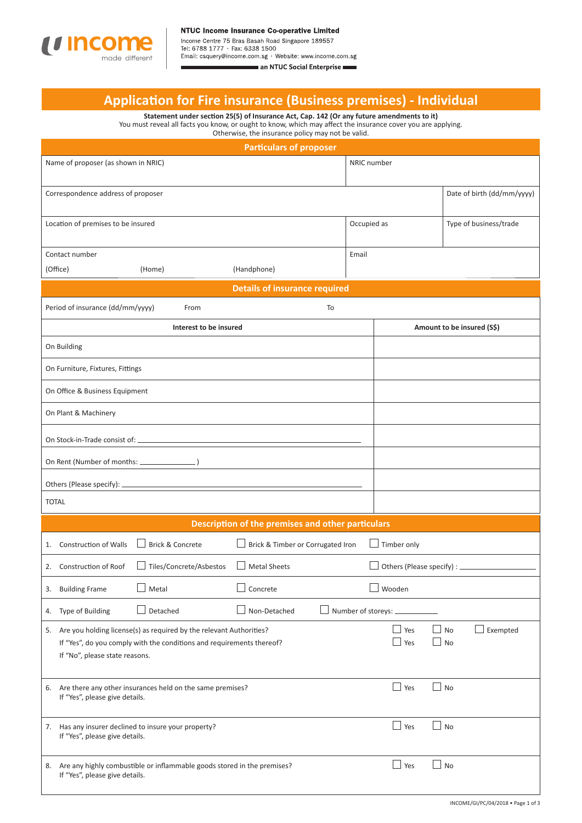

Income Centre 75 Bras Basah Road Singapore 189557<br>Tel: 6788 1777 · Fax: 6338 1500<br>Email: csquery@income.com.sg · Website: www.income.com.sg an NTUC Social Enterprise

# **Applicati on for Fire insurance (Business premises) - Individual**

**Statement under secti on 25(5) of Insurance Act, Cap. 142 (Or any future amendments to it)** You must reveal all facts you know, or ought to know, which may affect the insurance cover you are applying.

| Otherwise, the insurance policy may not be valid.                                                                                                                                 |                                                                                                |                                                                            |                                                   |                      |                            |                            |  |  |
|-----------------------------------------------------------------------------------------------------------------------------------------------------------------------------------|------------------------------------------------------------------------------------------------|----------------------------------------------------------------------------|---------------------------------------------------|----------------------|----------------------------|----------------------------|--|--|
| <b>Particulars of proposer</b>                                                                                                                                                    |                                                                                                |                                                                            |                                                   |                      |                            |                            |  |  |
| Name of proposer (as shown in NRIC)<br>NRIC number                                                                                                                                |                                                                                                |                                                                            |                                                   |                      |                            |                            |  |  |
|                                                                                                                                                                                   | Correspondence address of proposer                                                             |                                                                            |                                                   |                      |                            | Date of birth (dd/mm/yyyy) |  |  |
| Location of premises to be insured                                                                                                                                                |                                                                                                |                                                                            |                                                   | Occupied as          |                            | Type of business/trade     |  |  |
|                                                                                                                                                                                   | Contact number                                                                                 |                                                                            |                                                   | Email                |                            |                            |  |  |
|                                                                                                                                                                                   | (Office)                                                                                       | (Home)                                                                     | (Handphone)                                       |                      |                            |                            |  |  |
|                                                                                                                                                                                   |                                                                                                |                                                                            | <b>Details of insurance required</b>              |                      |                            |                            |  |  |
| Period of insurance (dd/mm/yyyy)<br>To<br>From                                                                                                                                    |                                                                                                |                                                                            |                                                   |                      |                            |                            |  |  |
|                                                                                                                                                                                   |                                                                                                | Interest to be insured                                                     |                                                   |                      | Amount to be insured (S\$) |                            |  |  |
|                                                                                                                                                                                   | On Building                                                                                    |                                                                            |                                                   |                      |                            |                            |  |  |
|                                                                                                                                                                                   | On Furniture, Fixtures, Fittings                                                               |                                                                            |                                                   |                      |                            |                            |  |  |
| On Office & Business Equipment                                                                                                                                                    |                                                                                                |                                                                            |                                                   |                      |                            |                            |  |  |
| On Plant & Machinery                                                                                                                                                              |                                                                                                |                                                                            |                                                   |                      |                            |                            |  |  |
| On Stock-in-Trade consist of: _                                                                                                                                                   |                                                                                                |                                                                            |                                                   |                      |                            |                            |  |  |
| On Rent (Number of months: ________                                                                                                                                               |                                                                                                |                                                                            |                                                   |                      |                            |                            |  |  |
| Others (Please specify): _                                                                                                                                                        |                                                                                                |                                                                            |                                                   |                      |                            |                            |  |  |
| <b>TOTAL</b>                                                                                                                                                                      |                                                                                                |                                                                            |                                                   |                      |                            |                            |  |  |
|                                                                                                                                                                                   |                                                                                                |                                                                            | Description of the premises and other particulars |                      |                            |                            |  |  |
|                                                                                                                                                                                   | 1. Construction of Walls                                                                       | <b>Brick &amp; Concrete</b>                                                | Brick & Timber or Corrugated Iron                 |                      | Timber only                |                            |  |  |
|                                                                                                                                                                                   | 2. Construction of Roof                                                                        | Tiles/Concrete/Asbestos                                                    | <b>Metal Sheets</b>                               |                      | Others (Please specify) :  |                            |  |  |
|                                                                                                                                                                                   | 3. Building Frame                                                                              | Metal                                                                      | Concrete                                          |                      | Wooden                     |                            |  |  |
|                                                                                                                                                                                   | 4. Type of Building                                                                            | Detached                                                                   | Non-Detached                                      | Number of storeys: _ |                            |                            |  |  |
| 5. Are you holding license(s) as required by the relevant Authorities?<br>If "Yes", do you comply with the conditions and requirements thereof?<br>If "No", please state reasons. |                                                                                                |                                                                            |                                                   |                      | Yes<br>Yes                 | Exempted<br>No<br>No       |  |  |
|                                                                                                                                                                                   | 6. Are there any other insurances held on the same premises?<br>If "Yes", please give details. |                                                                            |                                                   |                      | $\Box$ Yes                 | ⊿ No                       |  |  |
|                                                                                                                                                                                   | 7. Has any insurer declined to insure your property?<br>If "Yes", please give details.         |                                                                            |                                                   |                      | Yes                        | No                         |  |  |
|                                                                                                                                                                                   | If "Yes", please give details.                                                                 | 8. Are any highly combustible or inflammable goods stored in the premises? |                                                   |                      | Yes                        | No                         |  |  |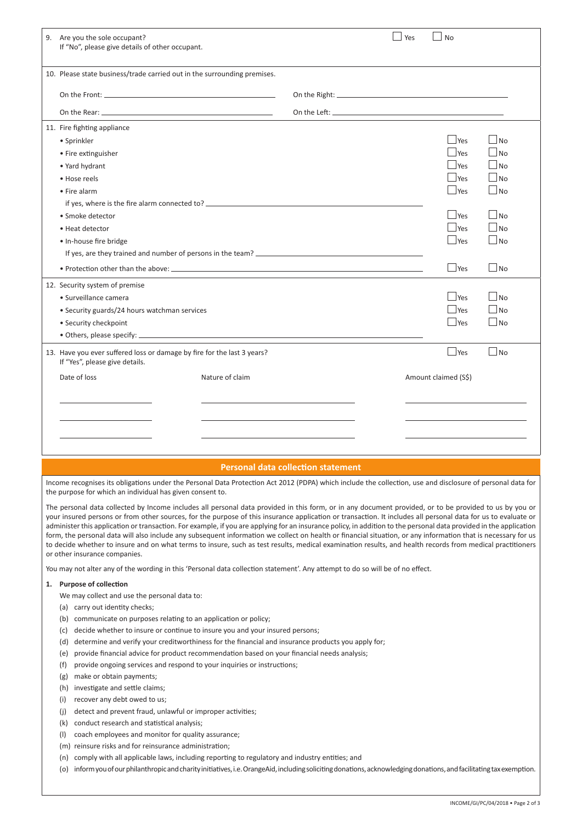| 9. Are you the sole occupant?<br>If "No", please give details of other occupant.                          |                 |  | Yes | $ $ No               |                             |
|-----------------------------------------------------------------------------------------------------------|-----------------|--|-----|----------------------|-----------------------------|
| 10. Please state business/trade carried out in the surrounding premises.                                  |                 |  |     |                      |                             |
|                                                                                                           |                 |  |     |                      |                             |
|                                                                                                           |                 |  |     |                      |                             |
| 11. Fire fighting appliance                                                                               |                 |  |     |                      |                             |
| • Sprinkler                                                                                               |                 |  |     | $\vert$ Yes          | N <sub>O</sub>              |
| • Fire extinguisher                                                                                       |                 |  |     | $\Box$ Yes           | $\Box$ No                   |
| • Yard hydrant                                                                                            |                 |  |     | $\Box$ Yes           | No                          |
| • Hose reels                                                                                              |                 |  |     | $ $ Yes              | $ N_{\Omega}$               |
| • Fire alarm                                                                                              |                 |  |     | $\Box$ Yes           | $ N_{\Omega}$               |
|                                                                                                           |                 |  |     |                      |                             |
| • Smoke detector                                                                                          |                 |  |     | $\Box$ Yes           | $\overline{\phantom{a}}$ No |
| • Heat detector                                                                                           |                 |  |     | $\Box$ Yes           | N <sub>O</sub>              |
| • In-house fire bridge                                                                                    |                 |  |     | $\Box$ Yes           | $\vert$ No                  |
|                                                                                                           |                 |  |     |                      |                             |
|                                                                                                           |                 |  |     | $\Box$ Yes           | $\Box$ No                   |
| 12. Security system of premise                                                                            |                 |  |     |                      |                             |
| · Surveillance camera                                                                                     |                 |  |     | $\Box$ Yes           | $ N_{\Omega}$               |
| • Security guards/24 hours watchman services                                                              |                 |  |     | $\Box$ Yes           | N <sub>0</sub>              |
| • Security checkpoint                                                                                     |                 |  |     | $ $ Yes              | $ N_{\Omega}$               |
|                                                                                                           |                 |  |     |                      |                             |
| 13. Have you ever suffered loss or damage by fire for the last 3 years?<br>If "Yes", please give details. |                 |  |     | $\Box$ Yes           | $\Box$ No                   |
| Date of loss                                                                                              | Nature of claim |  |     | Amount claimed (S\$) |                             |
|                                                                                                           |                 |  |     |                      |                             |
|                                                                                                           |                 |  |     |                      |                             |
|                                                                                                           |                 |  |     |                      |                             |
|                                                                                                           |                 |  |     |                      |                             |
|                                                                                                           |                 |  |     |                      |                             |
|                                                                                                           |                 |  |     |                      |                             |

# **Personal data collection statement**

Income recognises its obligations under the Personal Data Protection Act 2012 (PDPA) which include the collection, use and disclosure of personal data for the purpose for which an individual has given consent to.

The personal data collected by Income includes all personal data provided in this form, or in any document provided, or to be provided to us by you or your insured persons or from other sources, for the purpose of this insurance application or transaction. It includes all personal data for us to evaluate or administer this application or transaction. For example, if you are applying for an insurance policy, in addition to the personal data provided in the application form, the personal data will also include any subsequent information we collect on health or financial situation, or any information that is necessary for us to decide whether to insure and on what terms to insure, such as test results, medical examination results, and health records from medical practitioners or other insurance companies.

You may not alter any of the wording in this 'Personal data collection statement'. Any attempt to do so will be of no effect.

# 1. Purpose of collection

- We may collect and use the personal data to:
- (a) carry out identity checks;
- (b) communicate on purposes relating to an application or policy;
- (c) decide whether to insure or continue to insure you and your insured persons;
- (d) determine and verify your creditworthiness for the financial and insurance products you apply for;
- (e) provide financial advice for product recommendation based on your financial needs analysis;
- (f) provide ongoing services and respond to your inquiries or instructions;
- (g) make or obtain payments;
- (h) investigate and settle claims;
- (i) recover any debt owed to us;
- (j) detect and prevent fraud, unlawful or improper activities;
- $(k)$  conduct research and statistical analysis;
- (l) coach employees and monitor for quality assurance;
- (m) reinsure risks and for reinsurance administration;
- (n) comply with all applicable laws, including reporting to regulatory and industry entities; and
- (o) inform you of our philanthropic and charity initiatives, i.e. OrangeAid, including soliciting donations, acknowledging donations, and facilitating tax exemption.